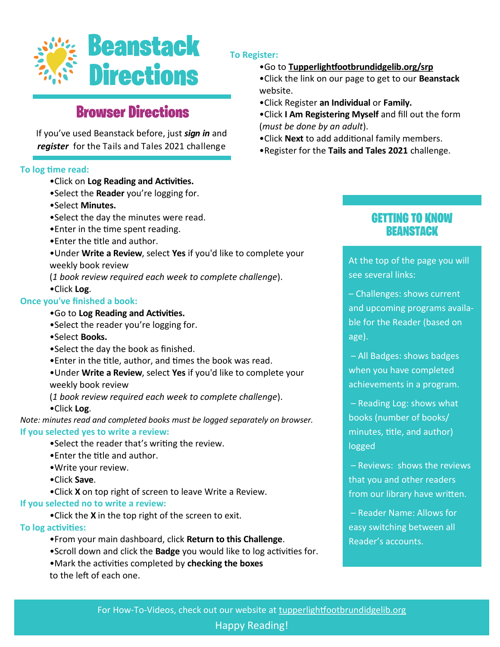

# **Browser Directions**

If you've used Beanstack before, just *sign in* and *register* for the Tails and Tales 2021 challenge

## **To log time read:**

- •Click on **Log Reading and Activities.**
- •Select the **Reader** you're logging for.
- •Select **Minutes.**
- •Select the day the minutes were read.
- •Enter in the time spent reading.
- •Enter the title and author.
- •Under **Write a Review**, select **Yes** if you'd like to complete your weekly book review
- (*1 book review required each week to complete challenge*). •Click **Log**.

## **Once you've finished a book:**

- •Go to **Log Reading and Activities.**
- •Select the reader you're logging for.
- •Select **Books.**
- •Select the day the book as finished.
- •Enter in the title, author, and times the book was read.
- •Under **Write a Review**, select **Yes** if you'd like to complete your weekly book review
- (*1 book review required each week to complete challenge*).
- •Click **Log**.

*Note: minutes read and completed books must be logged separately on browser.* **If you selected yes to write a review:**

- •Select the reader that's writing the review.
- •Enter the title and author.
- •Write your review.
- •Click **Save**.
- •Click **X** on top right of screen to leave Write a Review.

#### **If you selected no to write a review:**

•Click the **X** in the top right of the screen to exit.

### **To log activities:**

- •From your main dashboard, click **Return to this Challenge**.
- •Scroll down and click the **Badge** you would like to log activities for.
- •Mark the activities completed by **checking the boxes** to the left of each one.

## **To Register:**

## •Go to **Tupperlightfootbrundidgelib.org/srp**

- •Click the link on our page to get to our **Beanstack**  website.
- •Click Register **an Individual** or **Family.**
- •Click **I Am Registering Myself** and fill out the form (*must be done by an adult*).
- •Click **Next** to add additional family members.
- •Register for the **Tails and Tales 2021** challenge.

## **GETTING TO KNOW REANSTACK**

At the top of the page you will see several links:

– Challenges: shows current and upcoming programs available for the Reader (based on age).

– All Badges: shows badges when you have completed achievements in a program.

– Reading Log: shows what books (number of books/ minutes, title, and author) logged

– Reviews: shows the reviews that you and other readers from our library have written.

– Reader Name: Allows for easy switching between all Reader's accounts.

Happy Reading!